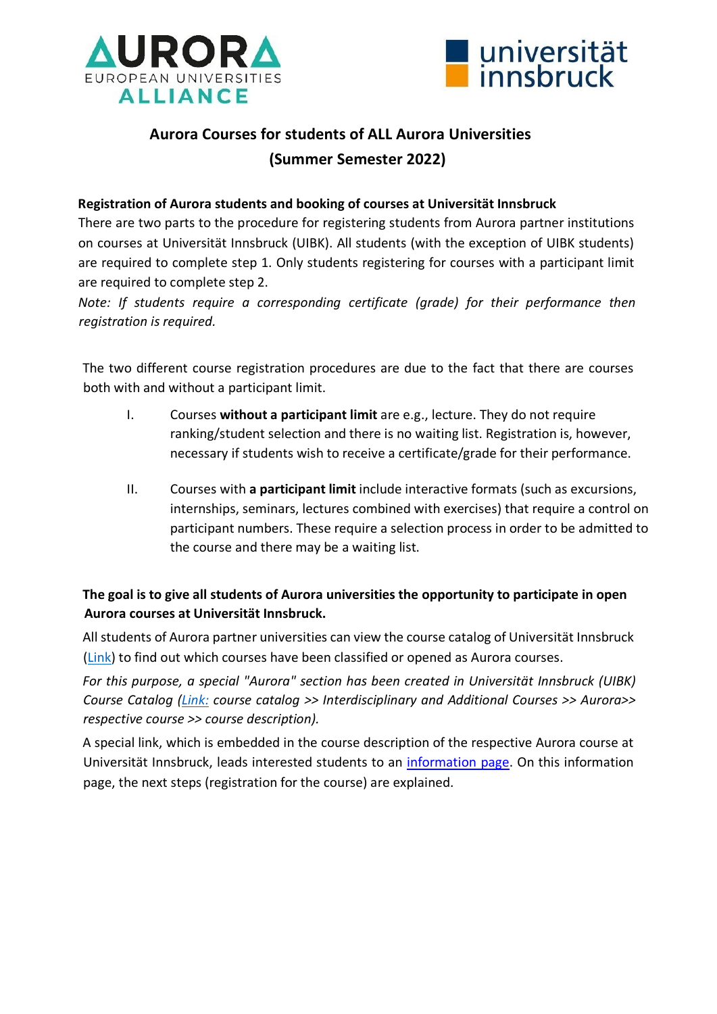



# **Aurora Courses for students of ALL Aurora Universities (Summer Semester 2022)**

### **Registration of Aurora students and booking of courses at Universität Innsbruck**

There are two parts to the procedure for registering students from Aurora partner institutions on courses at Universität Innsbruck (UIBK). All students (with the exception of UIBK students) are required to complete step 1. Only students registering for courses with a participant limit are required to complete step 2.

*Note: If students require a corresponding certificate (grade) for their performance then registration is required.* 

The two different course registration procedures are due to the fact that there are courses both with and without a participant limit.

- I. Courses **without a participant limit** are e.g., lecture. They do not require ranking/student selection and there is no waiting list. Registration is, however, necessary if students wish to receive a certificate/grade for their performance.
- II. Courses with **a participant limit** include interactive formats (such as excursions, internships, seminars, lectures combined with exercises) that require a control on participant numbers. These require a selection process in order to be admitted to the course and there may be a waiting list.

## **The goal is to give all students of Aurora universities the opportunity to participate in open Aurora courses at Universität Innsbruck.**

All students of Aurora partner universities can view the course catalog of Universität Innsbruck [\(Link\) to](https://lfuonline.uibk.ac.at/public/lfuonline_lv.home) find out which courses have been classified or opened as Aurora courses.

*For this purpose, a special "Aurora" section has been created in Universität Innsbruck (UIBK) Course Catalog [\(Link:](https://lfuonline.uibk.ac.at/public/lfuonline_lv.home) course catalog >> Interdisciplinary and Additional Courses >> Aurora>> respective course >> course description).* 

A special link, which is embedded in the course description of the respective Aurora course at Universität Innsbruck, leads interested students to an [information page. On](https://www.uibk.ac.at/international/aurora/kursangebote/uibk/index.html.en) this information page, the next steps (registration for the course) are explained.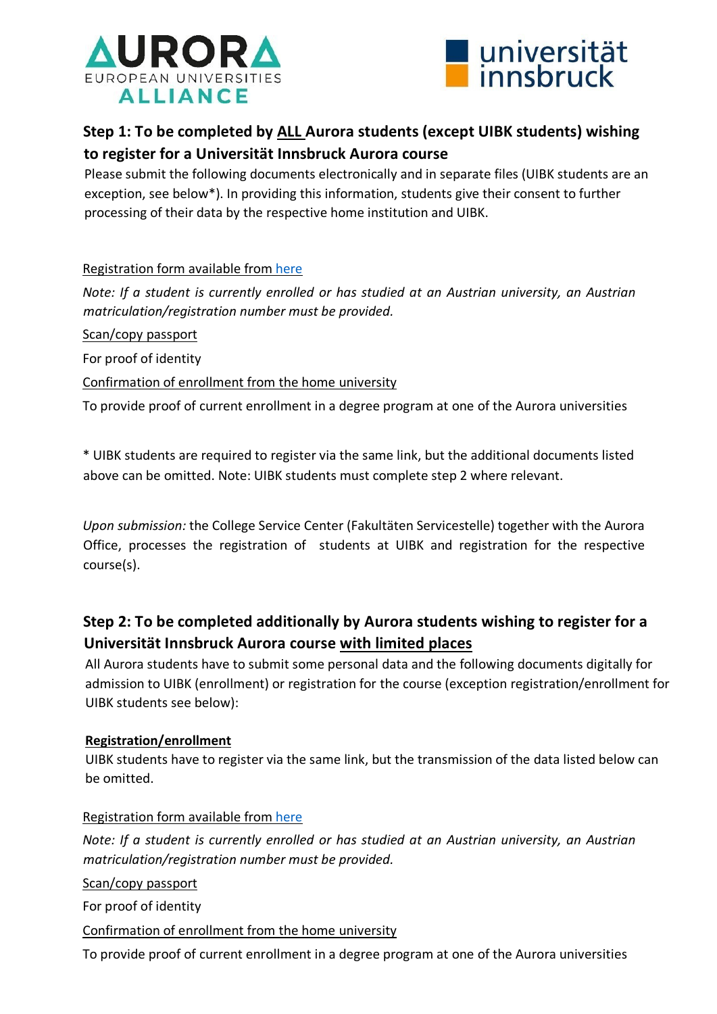



## **Step 1: To be completed by ALL Aurora students (except UIBK students) wishing to register for a Universität Innsbruck Aurora course**

Please submit the following documents electronically and in separate files (UIBK students are an exception, see below\*). In providing this information, students give their consent to further processing of their data by the respective home institution and UIBK.

## Registration form available from [here](https://www.uibk.ac.at/international/aurora/kursangebote/uibk/-registration-form.docx)

*Note: If a student is currently enrolled or has studied at an Austrian university, an Austrian matriculation/registration number must be provided.* 

Scan/copy passport

For proof of identity

Confirmation of enrollment from the home university

To provide proof of current enrollment in a degree program at one of the Aurora universities

\* UIBK students are required to register via the same link, but the additional documents listed above can be omitted. Note: UIBK students must complete step 2 where relevant.

*Upon submission:* the College Service Center (Fakultäten Servicestelle) together with the Aurora Office, processes the registration of students at UIBK and registration for the respective course(s).

## **Step 2: To be completed additionally by Aurora students wishing to register for a Universität Innsbruck Aurora course with limited places**

All Aurora students have to submit some personal data and the following documents digitally for admission to UIBK (enrollment) or registration for the course (exception registration/enrollment for UIBK students see below):

## **Registration/enrollment**

UIBK students have to register via the same link, but the transmission of the data listed below can be omitted.

## Registration form available from [here](https://www.uibk.ac.at/international/aurora/kursangebote/uibk/-registration-form.docx)

*Note: If a student is currently enrolled or has studied at an Austrian university, an Austrian matriculation/registration number must be provided.* 

Scan/copy passport

For proof of identity

## Confirmation of enrollment from the home university

To provide proof of current enrollment in a degree program at one of the Aurora universities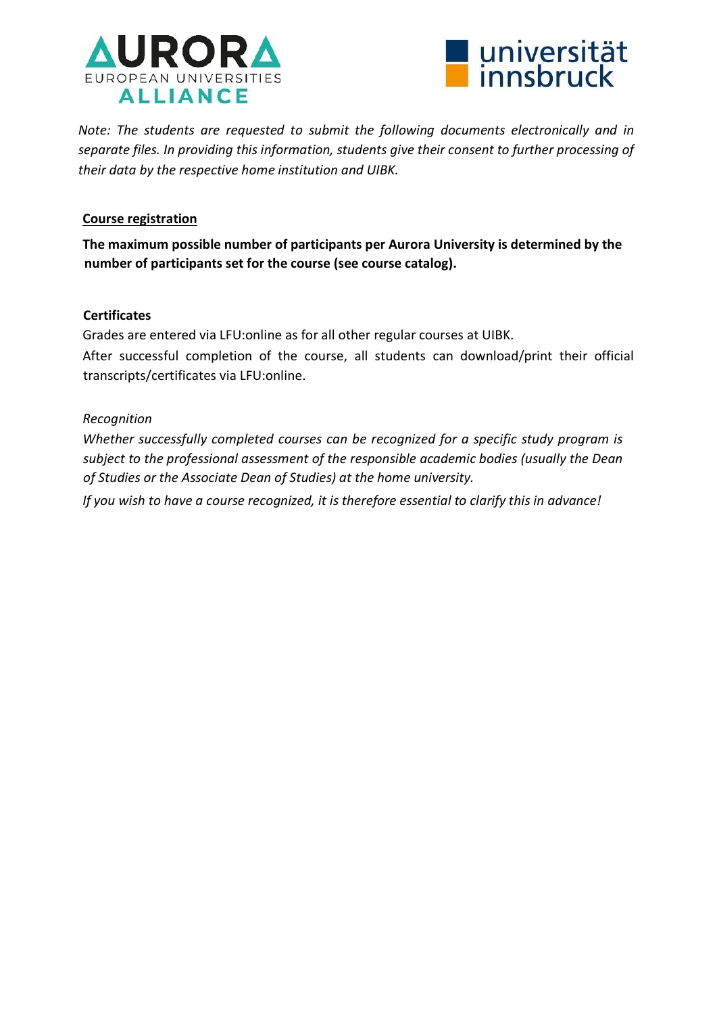



*Note: The students are requested to submit the following documents electronically and in separate files. In providing this information, students give their consent to further processing of their data by the respective home institution and UIBK.* 

### **Course registration**

**The maximum possible number of participants per Aurora University is determined by the number of participants set for the course (see course catalog).** 

### **Certificates**

Grades are entered via LFU:online as for all other regular courses at UIBK.

After successful completion of the course, all students can download/print their official transcripts/certificates via LFU:online.

### *Recognition*

*Whether successfully completed courses can be recognized for a specific study program is subject to the professional assessment of the responsible academic bodies (usually the Dean of Studies or the Associate Dean of Studies) at the home university.* 

*If you wish to have a course recognized, it is therefore essential to clarify this in advance!*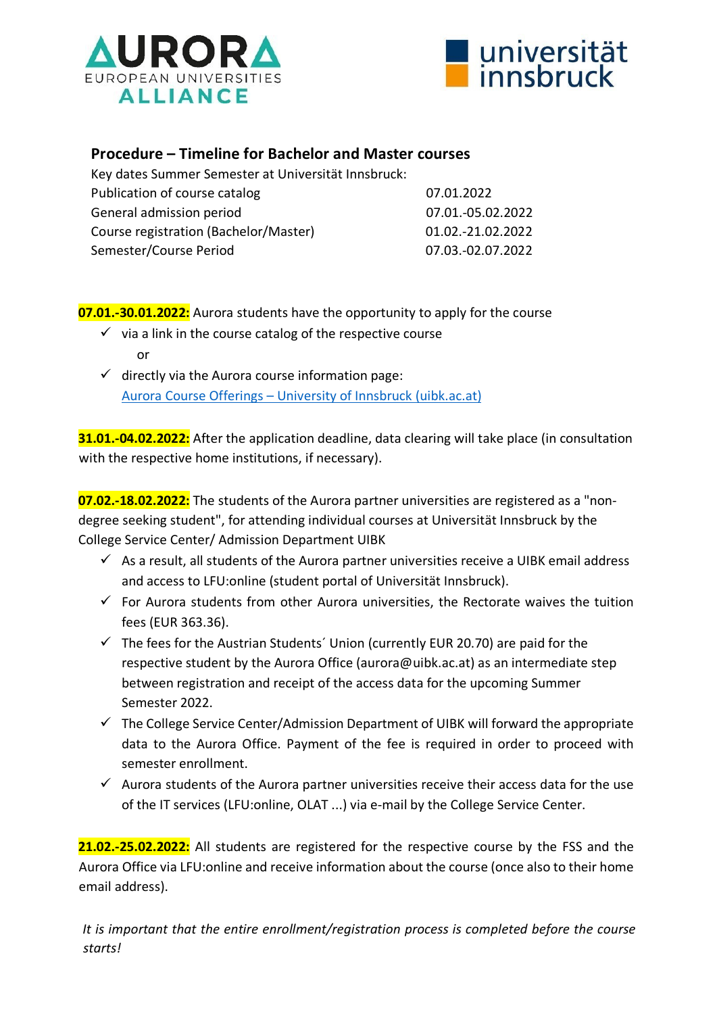



## **Procedure – Timeline for Bachelor and Master courses**

| Key dates Summer Semester at Universität Innsbruck: |                   |
|-----------------------------------------------------|-------------------|
| Publication of course catalog                       | 07.01.2022        |
| General admission period                            | 07.01.-05.02.2022 |
| Course registration (Bachelor/Master)               | 01.02.-21.02.2022 |
| Semester/Course Period                              | 07.03.-02.07.2022 |

## **07.01.-30.01.2022:** Aurora students have the opportunity to apply for the course

- $\checkmark$  via a link in the course catalog of the respective course or
- $\checkmark$  directly via the Aurora course information page: Aurora Course Offerings – [University of Innsbruck \(uibk.ac.at\)](https://www.uibk.ac.at/international/aurora/kursangebote/uibk/index.html.en)

**31.01.-04.02.2022:** After the application deadline, data clearing will take place (in consultation with the respective home institutions, if necessary).

**07.02.-18.02.2022:** The students of the Aurora partner universities are registered as a "nondegree seeking student", for attending individual courses at Universität Innsbruck by the College Service Center/ Admission Department UIBK

- $\checkmark$  As a result, all students of the Aurora partner universities receive a UIBK email address and access to LFU:online (student portal of Universität Innsbruck).
- $\checkmark$  For Aurora students from other Aurora universities, the Rectorate waives the tuition fees (EUR 363.36).
- $\checkmark$  The fees for the Austrian Students' Union (currently EUR 20.70) are paid for the respective student by the Aurora Office (aurora@uibk.ac.at) as an intermediate step between registration and receipt of the access data for the upcoming Summer Semester 2022.
- $\checkmark$  The College Service Center/Admission Department of UIBK will forward the appropriate data to the Aurora Office. Payment of the fee is required in order to proceed with semester enrollment.
- $\checkmark$  Aurora students of the Aurora partner universities receive their access data for the use of the IT services (LFU:online, OLAT ...) via e-mail by the College Service Center.

**21.02.-25.02.2022:** All students are registered for the respective course by the FSS and the Aurora Office via LFU:online and receive information about the course (once also to their home email address).

*It is important that the entire enrollment/registration process is completed before the course starts!*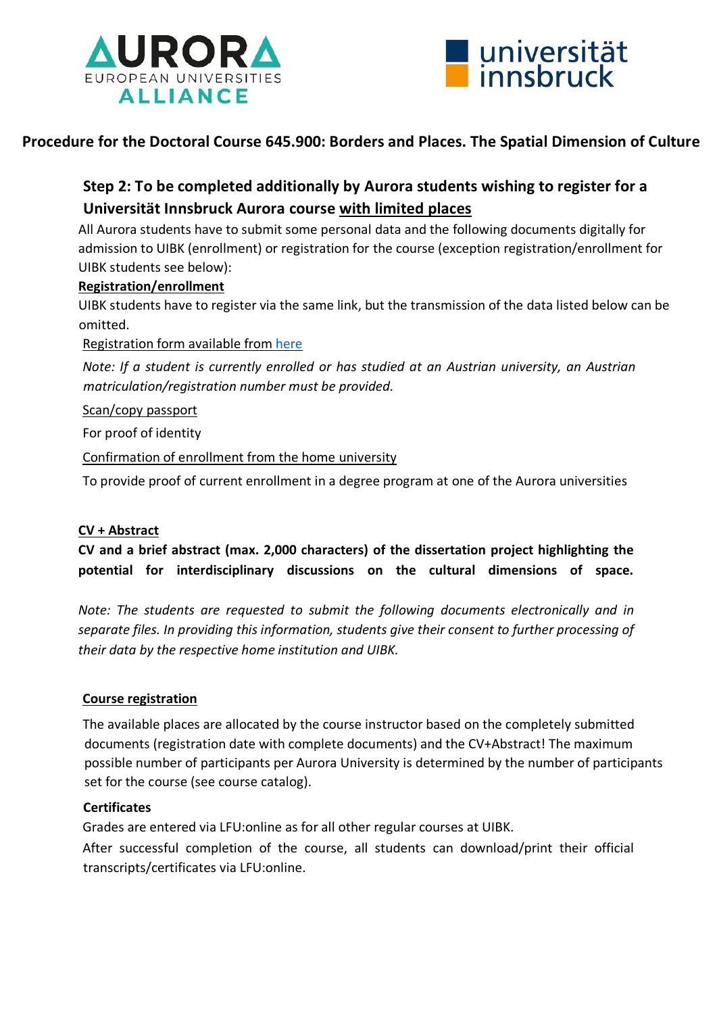



## **Procedure for the Doctoral Course 645.900: Borders and Places. The Spatial Dimension of Culture**

## **Step 2: To be completed additionally by Aurora students wishing to register for a Universität Innsbruck Aurora course with limited places**

All Aurora students have to submit some personal data and the following documents digitally for admission to UIBK (enrollment) or registration for the course (exception registration/enrollment for UIBK students see below):

## **Registration/enrollment**

UIBK students have to register via the same link, but the transmission of the data listed below can be omitted.

Registration form available from [here](https://www.uibk.ac.at/international/aurora/kursangebote/uibk/-registration-form.docx) 

*Note: If a student is currently enrolled or has studied at an Austrian university, an Austrian matriculation/registration number must be provided.* 

Scan/copy passport

For proof of identity

Confirmation of enrollment from the home university

To provide proof of current enrollment in a degree program at one of the Aurora universities

#### **CV + Abstract**

**CV and a brief abstract (max. 2,000 characters) of the dissertation project highlighting the potential for interdisciplinary discussions on the cultural dimensions of space.**

*Note: The students are requested to submit the following documents electronically and in separate files. In providing this information, students give their consent to further processing of their data by the respective home institution and UIBK.* 

#### **Course registration**

The available places are allocated by the course instructor based on the completely submitted documents (registration date with complete documents) and the CV+Abstract! The maximum possible number of participants per Aurora University is determined by the number of participants set for the course (see course catalog).

#### **Certificates**

Grades are entered via LFU:online as for all other regular courses at UIBK.

After successful completion of the course, all students can download/print their official transcripts/certificates via LFU:online.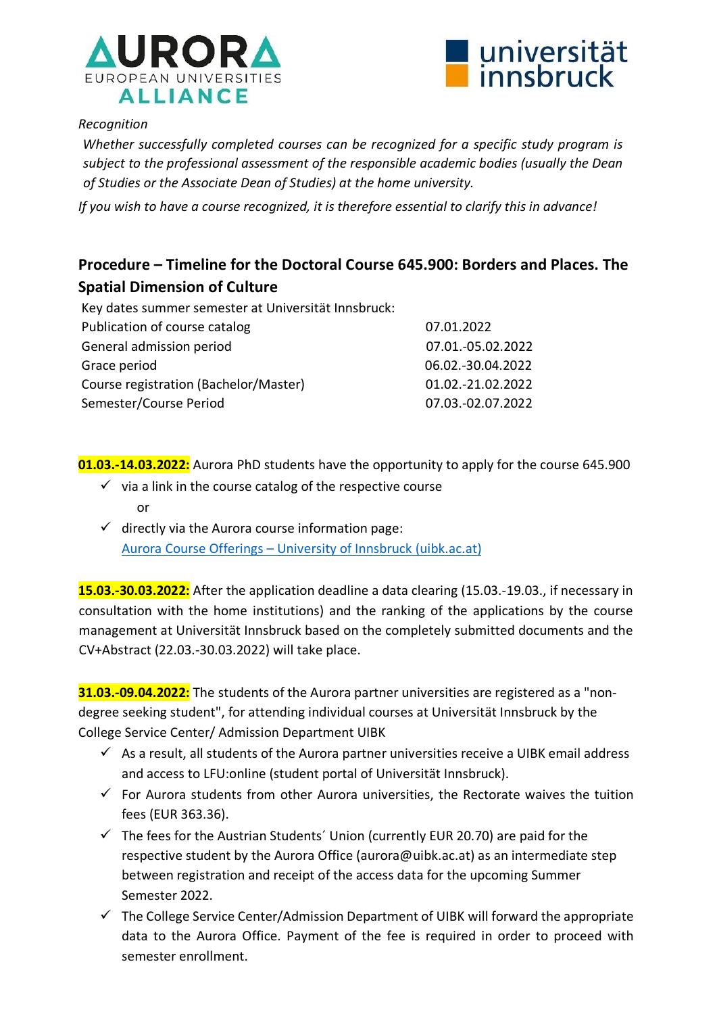



### *Recognition*

*Whether successfully completed courses can be recognized for a specific study program is subject to the professional assessment of the responsible academic bodies (usually the Dean of Studies or the Associate Dean of Studies) at the home university.* 

*If you wish to have a course recognized, it is therefore essential to clarify this in advance!* 

## **Procedure – Timeline for the Doctoral Course 645.900: Borders and Places. The Spatial Dimension of Culture**

| Key dates summer semester at Universität Innsbruck: |                   |
|-----------------------------------------------------|-------------------|
| Publication of course catalog                       | 07.01.2022        |
| General admission period                            | 07.01.-05.02.2022 |
| Grace period                                        | 06.02.-30.04.2022 |
| Course registration (Bachelor/Master)               | 01.02.-21.02.2022 |
| Semester/Course Period                              | 07.03.-02.07.2022 |

**01.03.-14.03.2022:** Aurora PhD students have the opportunity to apply for the course 645.900

- $\checkmark$  via a link in the course catalog of the respective course or
- $\checkmark$  directly via the Aurora course information page: Aurora Course Offerings – [University of Innsbruck \(uibk.ac.at\)](https://www.uibk.ac.at/international/aurora/kursangebote/uibk/index.html.en)

**15.03.-30.03.2022:** After the application deadline a data clearing (15.03.-19.03., if necessary in consultation with the home institutions) and the ranking of the applications by the course management at Universität Innsbruck based on the completely submitted documents and the CV+Abstract (22.03.-30.03.2022) will take place.

**31.03.-09.04.2022:** The students of the Aurora partner universities are registered as a "nondegree seeking student", for attending individual courses at Universität Innsbruck by the College Service Center/ Admission Department UIBK

- $\checkmark$  As a result, all students of the Aurora partner universities receive a UIBK email address and access to LFU:online (student portal of Universität Innsbruck).
- $\checkmark$  For Aurora students from other Aurora universities, the Rectorate waives the tuition fees (EUR 363.36).
- $\checkmark$  The fees for the Austrian Students' Union (currently EUR 20.70) are paid for the respective student by the Aurora Office (aurora@uibk.ac.at) as an intermediate step between registration and receipt of the access data for the upcoming Summer Semester 2022.
- $\checkmark$  The College Service Center/Admission Department of UIBK will forward the appropriate data to the Aurora Office. Payment of the fee is required in order to proceed with semester enrollment.